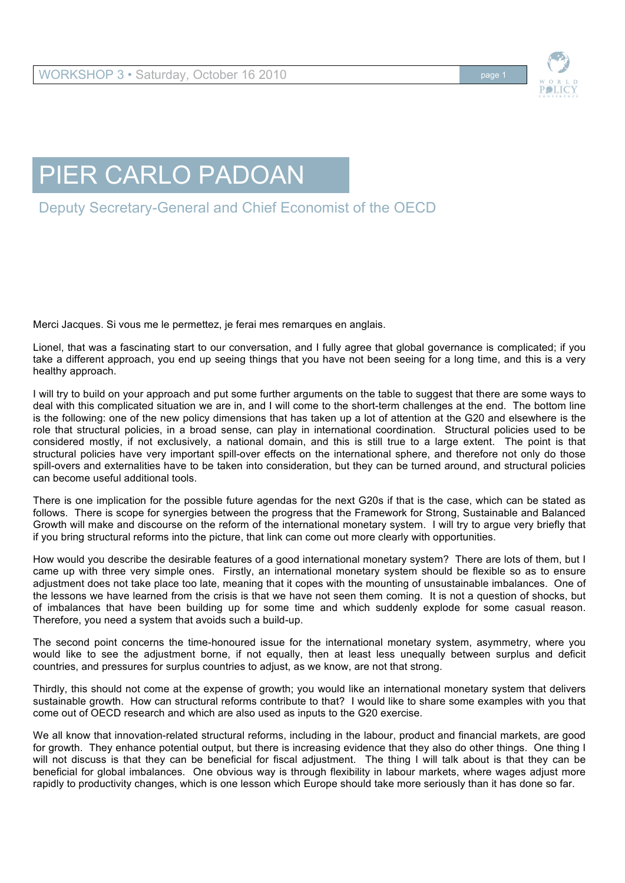

## PIER CARLO PADOAN

Deputy Secretary-General and Chief Economist of the OECD

Merci Jacques. Si vous me le permettez, je ferai mes remarques en anglais.

Lionel, that was a fascinating start to our conversation, and I fully agree that global governance is complicated; if you take a different approach, you end up seeing things that you have not been seeing for a long time, and this is a very healthy approach.

I will try to build on your approach and put some further arguments on the table to suggest that there are some ways to deal with this complicated situation we are in, and I will come to the short-term challenges at the end. The bottom line is the following: one of the new policy dimensions that has taken up a lot of attention at the G20 and elsewhere is the role that structural policies, in a broad sense, can play in international coordination. Structural policies used to be considered mostly, if not exclusively, a national domain, and this is still true to a large extent. The point is that structural policies have very important spill-over effects on the international sphere, and therefore not only do those spill-overs and externalities have to be taken into consideration, but they can be turned around, and structural policies can become useful additional tools.

There is one implication for the possible future agendas for the next G20s if that is the case, which can be stated as follows. There is scope for synergies between the progress that the Framework for Strong, Sustainable and Balanced Growth will make and discourse on the reform of the international monetary system. I will try to argue very briefly that if you bring structural reforms into the picture, that link can come out more clearly with opportunities.

How would you describe the desirable features of a good international monetary system? There are lots of them, but I came up with three very simple ones. Firstly, an international monetary system should be flexible so as to ensure adjustment does not take place too late, meaning that it copes with the mounting of unsustainable imbalances. One of the lessons we have learned from the crisis is that we have not seen them coming. It is not a question of shocks, but of imbalances that have been building up for some time and which suddenly explode for some casual reason. Therefore, you need a system that avoids such a build-up.

The second point concerns the time-honoured issue for the international monetary system, asymmetry, where you would like to see the adjustment borne, if not equally, then at least less unequally between surplus and deficit countries, and pressures for surplus countries to adjust, as we know, are not that strong.

Thirdly, this should not come at the expense of growth; you would like an international monetary system that delivers sustainable growth. How can structural reforms contribute to that? I would like to share some examples with you that come out of OECD research and which are also used as inputs to the G20 exercise.

We all know that innovation-related structural reforms, including in the labour, product and financial markets, are good for growth. They enhance potential output, but there is increasing evidence that they also do other things. One thing I will not discuss is that they can be beneficial for fiscal adjustment. The thing I will talk about is that they can be beneficial for global imbalances. One obvious way is through flexibility in labour markets, where wages adjust more rapidly to productivity changes, which is one lesson which Europe should take more seriously than it has done so far.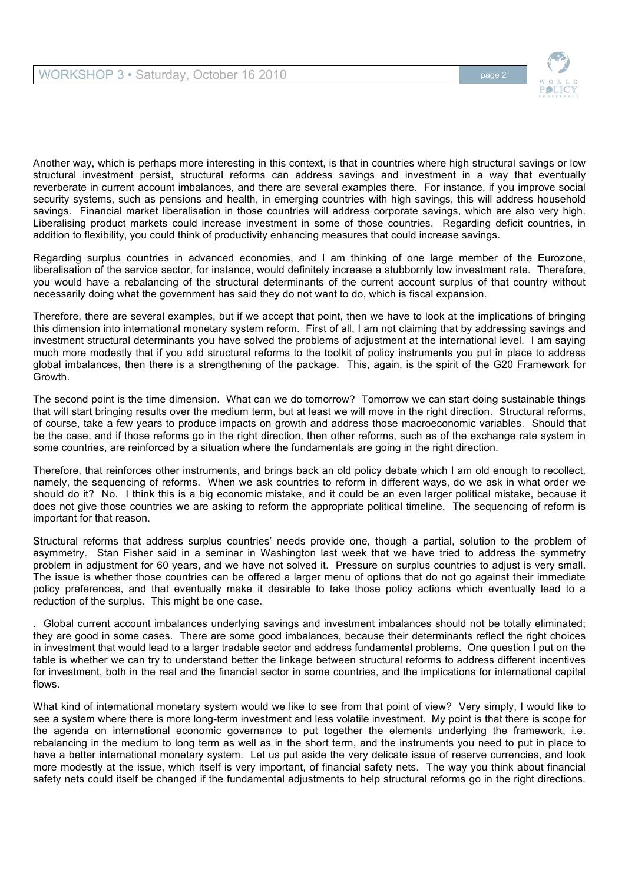

Another way, which is perhaps more interesting in this context, is that in countries where high structural savings or low structural investment persist, structural reforms can address savings and investment in a way that eventually reverberate in current account imbalances, and there are several examples there. For instance, if you improve social security systems, such as pensions and health, in emerging countries with high savings, this will address household savings. Financial market liberalisation in those countries will address corporate savings, which are also very high. Liberalising product markets could increase investment in some of those countries. Regarding deficit countries, in addition to flexibility, you could think of productivity enhancing measures that could increase savings.

Regarding surplus countries in advanced economies, and I am thinking of one large member of the Eurozone, liberalisation of the service sector, for instance, would definitely increase a stubbornly low investment rate. Therefore, you would have a rebalancing of the structural determinants of the current account surplus of that country without necessarily doing what the government has said they do not want to do, which is fiscal expansion.

Therefore, there are several examples, but if we accept that point, then we have to look at the implications of bringing this dimension into international monetary system reform. First of all, I am not claiming that by addressing savings and investment structural determinants you have solved the problems of adjustment at the international level. I am saying much more modestly that if you add structural reforms to the toolkit of policy instruments you put in place to address global imbalances, then there is a strengthening of the package. This, again, is the spirit of the G20 Framework for Growth.

The second point is the time dimension. What can we do tomorrow? Tomorrow we can start doing sustainable things that will start bringing results over the medium term, but at least we will move in the right direction. Structural reforms, of course, take a few years to produce impacts on growth and address those macroeconomic variables. Should that be the case, and if those reforms go in the right direction, then other reforms, such as of the exchange rate system in some countries, are reinforced by a situation where the fundamentals are going in the right direction.

Therefore, that reinforces other instruments, and brings back an old policy debate which I am old enough to recollect, namely, the sequencing of reforms. When we ask countries to reform in different ways, do we ask in what order we should do it? No. I think this is a big economic mistake, and it could be an even larger political mistake, because it does not give those countries we are asking to reform the appropriate political timeline. The sequencing of reform is important for that reason.

Structural reforms that address surplus countries' needs provide one, though a partial, solution to the problem of asymmetry. Stan Fisher said in a seminar in Washington last week that we have tried to address the symmetry problem in adjustment for 60 years, and we have not solved it. Pressure on surplus countries to adjust is very small. The issue is whether those countries can be offered a larger menu of options that do not go against their immediate policy preferences, and that eventually make it desirable to take those policy actions which eventually lead to a reduction of the surplus. This might be one case.

. Global current account imbalances underlying savings and investment imbalances should not be totally eliminated; they are good in some cases. There are some good imbalances, because their determinants reflect the right choices in investment that would lead to a larger tradable sector and address fundamental problems. One question I put on the table is whether we can try to understand better the linkage between structural reforms to address different incentives for investment, both in the real and the financial sector in some countries, and the implications for international capital flows.

What kind of international monetary system would we like to see from that point of view? Very simply, I would like to see a system where there is more long-term investment and less volatile investment. My point is that there is scope for the agenda on international economic governance to put together the elements underlying the framework, i.e. rebalancing in the medium to long term as well as in the short term, and the instruments you need to put in place to have a better international monetary system. Let us put aside the very delicate issue of reserve currencies, and look more modestly at the issue, which itself is very important, of financial safety nets. The way you think about financial safety nets could itself be changed if the fundamental adjustments to help structural reforms go in the right directions.